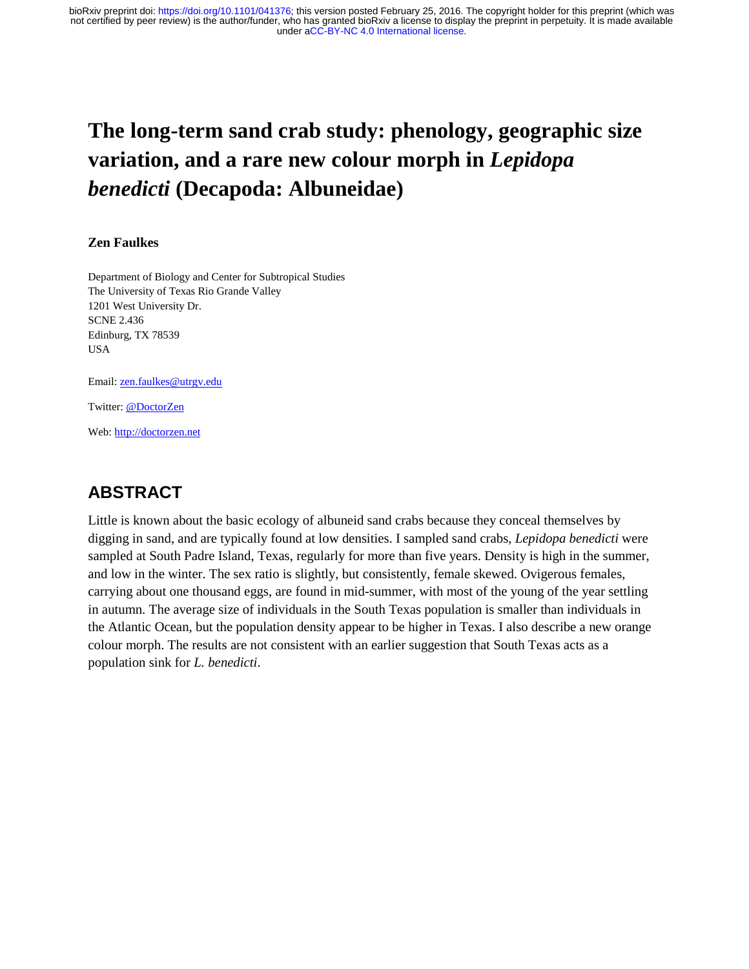# **The long-term sand crab study: phenology, geographic size variation, and a rare new colour morph in** *Lepidopa benedicti* **(Decapoda: Albuneidae)**

### **Zen Faulkes**

Department of Biology and Center for Subtropical Studies The University of Texas Rio Grande Valley 1201 West University Dr. SCNE 2.436 Edinburg, TX 78539 USA

Email: [zen.faulkes@utrgv.edu](mailto:zen.faulkes@utrgv.edu)

Twitter: [@DoctorZen](http://twitter.com/DoctorZen)

Web[: http://doctorzen.net](http://doctorzen.net/)

## **ABSTRACT**

Little is known about the basic ecology of albuneid sand crabs because they conceal themselves by digging in sand, and are typically found at low densities. I sampled sand crabs, *Lepidopa benedicti* were sampled at South Padre Island, Texas, regularly for more than five years. Density is high in the summer, and low in the winter. The sex ratio is slightly, but consistently, female skewed. Ovigerous females, carrying about one thousand eggs, are found in mid-summer, with most of the young of the year settling in autumn. The average size of individuals in the South Texas population is smaller than individuals in the Atlantic Ocean, but the population density appear to be higher in Texas. I also describe a new orange colour morph. The results are not consistent with an earlier suggestion that South Texas acts as a population sink for *L. benedicti*.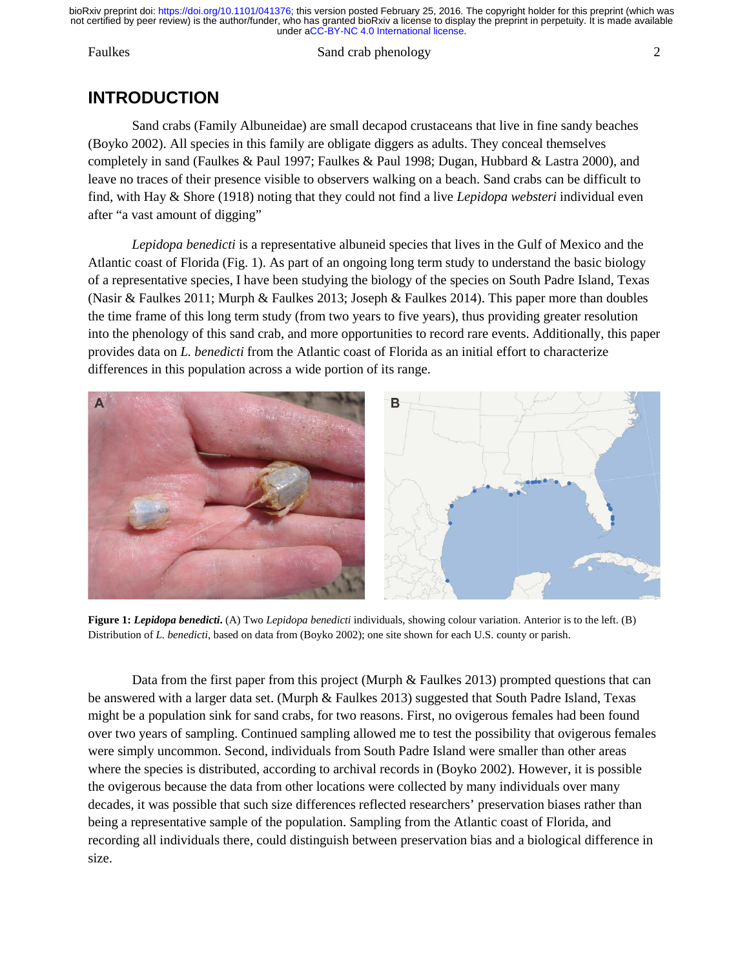#### Faulkes Sand crab phenology 2

## **INTRODUCTION**

Sand crabs (Family Albuneidae) are small decapod crustaceans that live in fine sandy beaches (Boyko 2002). All species in this family are obligate diggers as adults. They conceal themselves completely in sand (Faulkes & Paul 1997; Faulkes & Paul 1998; Dugan, Hubbard & Lastra 2000), and leave no traces of their presence visible to observers walking on a beach. Sand crabs can be difficult to find, with Hay & Shore (1918) noting that they could not find a live *Lepidopa websteri* individual even after "a vast amount of digging"

*Lepidopa benedicti* is a representative albuneid species that lives in the Gulf of Mexico and the Atlantic coast of Florida (Fig. 1). As part of an ongoing long term study to understand the basic biology of a representative species, I have been studying the biology of the species on South Padre Island, Texas (Nasir & Faulkes 2011; Murph & Faulkes 2013; Joseph & Faulkes 2014). This paper more than doubles the time frame of this long term study (from two years to five years), thus providing greater resolution into the phenology of this sand crab, and more opportunities to record rare events. Additionally, this paper provides data on *L. benedicti* from the Atlantic coast of Florida as an initial effort to characterize differences in this population across a wide portion of its range.



**Figure 1:** *Lepidopa benedicti***.** (A) Two *Lepidopa benedicti* individuals, showing colour variation. Anterior is to the left. (B) Distribution of *L. benedicti*, based on data from (Boyko 2002); one site shown for each U.S. county or parish.

Data from the first paper from this project (Murph & Faulkes 2013) prompted questions that can be answered with a larger data set. (Murph & Faulkes 2013) suggested that South Padre Island, Texas might be a population sink for sand crabs, for two reasons. First, no ovigerous females had been found over two years of sampling. Continued sampling allowed me to test the possibility that ovigerous females were simply uncommon. Second, individuals from South Padre Island were smaller than other areas where the species is distributed, according to archival records in (Boyko 2002). However, it is possible the ovigerous because the data from other locations were collected by many individuals over many decades, it was possible that such size differences reflected researchers' preservation biases rather than being a representative sample of the population. Sampling from the Atlantic coast of Florida, and recording all individuals there, could distinguish between preservation bias and a biological difference in size.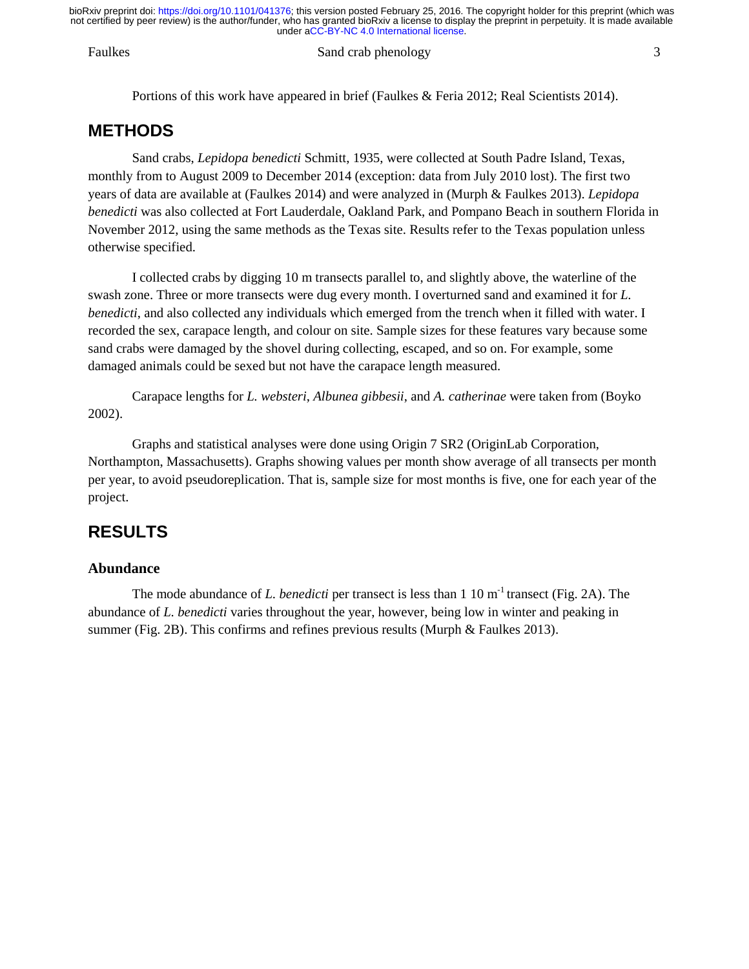#### Faulkes Sand crab phenology 3

Portions of this work have appeared in brief (Faulkes & Feria 2012; Real Scientists 2014).

## **METHODS**

Sand crabs, *Lepidopa benedicti* Schmitt, 1935, were collected at South Padre Island, Texas, monthly from to August 2009 to December 2014 (exception: data from July 2010 lost). The first two years of data are available at (Faulkes 2014) and were analyzed in (Murph & Faulkes 2013). *Lepidopa benedicti* was also collected at Fort Lauderdale, Oakland Park, and Pompano Beach in southern Florida in November 2012, using the same methods as the Texas site. Results refer to the Texas population unless otherwise specified.

I collected crabs by digging 10 m transects parallel to, and slightly above, the waterline of the swash zone. Three or more transects were dug every month. I overturned sand and examined it for *L. benedicti*, and also collected any individuals which emerged from the trench when it filled with water. I recorded the sex, carapace length, and colour on site. Sample sizes for these features vary because some sand crabs were damaged by the shovel during collecting, escaped, and so on. For example, some damaged animals could be sexed but not have the carapace length measured.

Carapace lengths for *L. websteri*, *Albunea gibbesii*, and *A. catherinae* were taken from (Boyko 2002).

Graphs and statistical analyses were done using Origin 7 SR2 (OriginLab Corporation, Northampton, Massachusetts). Graphs showing values per month show average of all transects per month per year, to avoid pseudoreplication. That is, sample size for most months is five, one for each year of the project.

## **RESULTS**

### **Abundance**

The mode abundance of *L. benedicti* per transect is less than 1 10 m<sup>-1</sup> transect (Fig. 2A). The abundance of *L. benedicti* varies throughout the year, however, being low in winter and peaking in summer (Fig. 2B). This confirms and refines previous results (Murph & Faulkes 2013).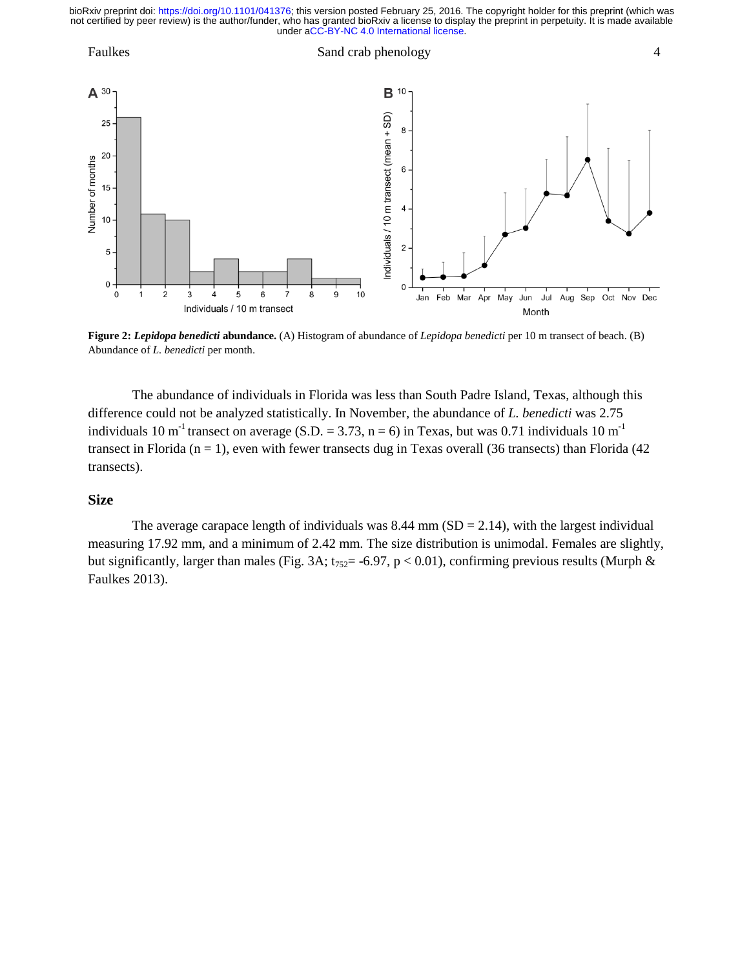

**Figure 2:** *Lepidopa benedicti* **abundance.** (A) Histogram of abundance of *Lepidopa benedicti* per 10 m transect of beach. (B) Abundance of *L. benedicti* per month.

The abundance of individuals in Florida was less than South Padre Island, Texas, although this difference could not be analyzed statistically. In November, the abundance of *L. benedicti* was 2.75 individuals 10 m<sup>-1</sup> transect on average (S.D. = 3.73, n = 6) in Texas, but was 0.71 individuals 10 m<sup>-1</sup> transect in Florida  $(n = 1)$ , even with fewer transects dug in Texas overall (36 transects) than Florida (42) transects).

### **Size**

The average carapace length of individuals was  $8.44$  mm (SD = 2.14), with the largest individual measuring 17.92 mm, and a minimum of 2.42 mm. The size distribution is unimodal. Females are slightly, but significantly, larger than males (Fig. 3A;  $t_{752}$  = -6.97, p < 0.01), confirming previous results (Murph & Faulkes 2013).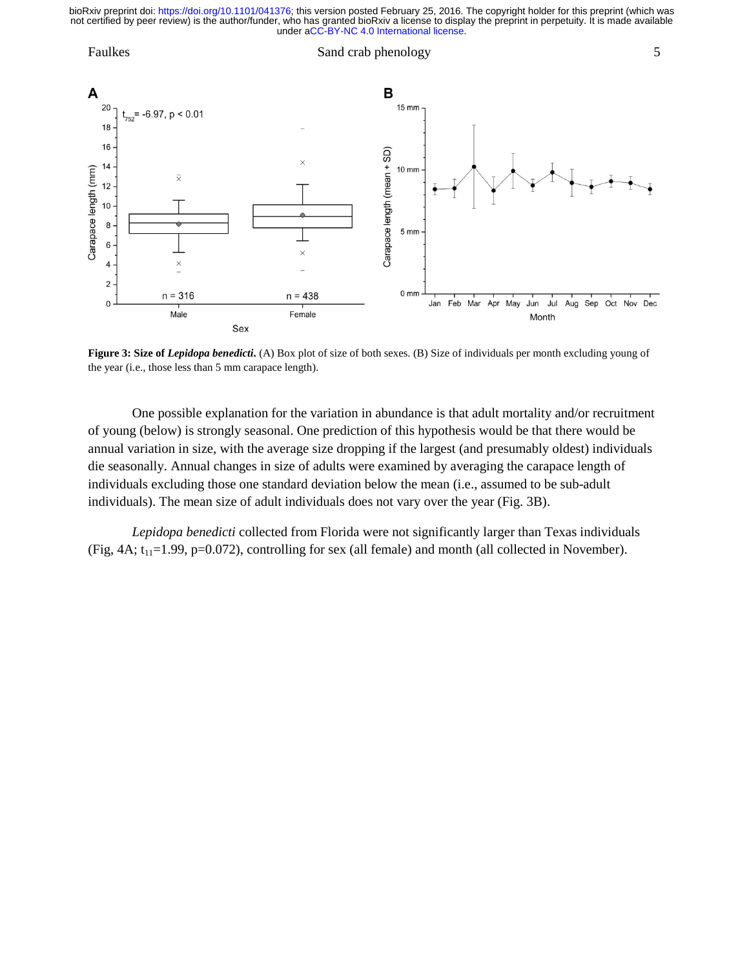

Figure 3: Size of *Lepidopa benedicti*. (A) Box plot of size of both sexes. (B) Size of individuals per month excluding young of the year (i.e., those less than 5 mm carapace length).

One possible explanation for the variation in abundance is that adult mortality and/or recruitment of young (below) is strongly seasonal. One prediction of this hypothesis would be that there would be annual variation in size, with the average size dropping if the largest (and presumably oldest) individuals die seasonally. Annual changes in size of adults were examined by averaging the carapace length of individuals excluding those one standard deviation below the mean (i.e., assumed to be sub-adult individuals). The mean size of adult individuals does not vary over the year (Fig. 3B).

*Lepidopa benedicti* collected from Florida were not significantly larger than Texas individuals (Fig,  $4A$ ;  $t_{11}=1.99$ ,  $p=0.072$ ), controlling for sex (all female) and month (all collected in November).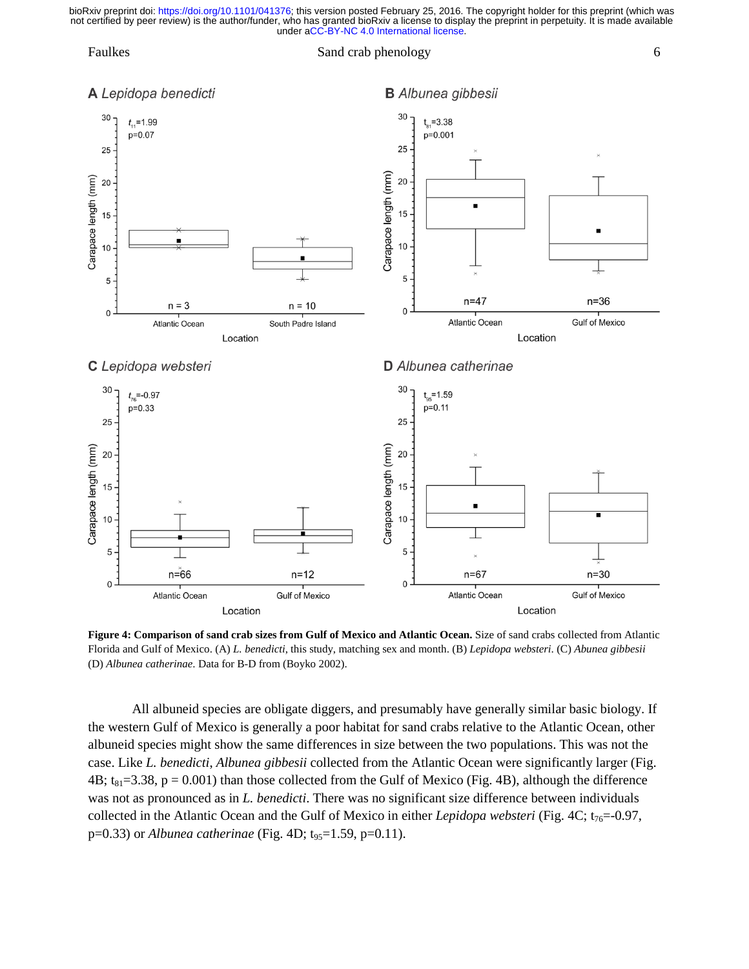#### Faulkes Sand crab phenology 6



### **B** Albunea gibbesii



**Figure 4: Comparison of sand crab sizes from Gulf of Mexico and Atlantic Ocean.** Size of sand crabs collected from Atlantic Florida and Gulf of Mexico. (A) *L. benedicti*, this study, matching sex and month. (B) *Lepidopa websteri*. (C) *Abunea gibbesii* (D) *Albunea catherinae*. Data for B-D from (Boyko 2002).

All albuneid species are obligate diggers, and presumably have generally similar basic biology. If the western Gulf of Mexico is generally a poor habitat for sand crabs relative to the Atlantic Ocean, other albuneid species might show the same differences in size between the two populations. This was not the case. Like *L. benedicti*, *Albunea gibbesii* collected from the Atlantic Ocean were significantly larger (Fig. 4B;  $t_{81}=3.38$ ,  $p = 0.001$ ) than those collected from the Gulf of Mexico (Fig. 4B), although the difference was not as pronounced as in *L. benedicti*. There was no significant size difference between individuals collected in the Atlantic Ocean and the Gulf of Mexico in either *Lepidopa websteri* (Fig. 4C; t<sub>76</sub>=-0.97, p=0.33) or *Albunea catherinae* (Fig. 4D; t<sub>95</sub>=1.59, p=0.11).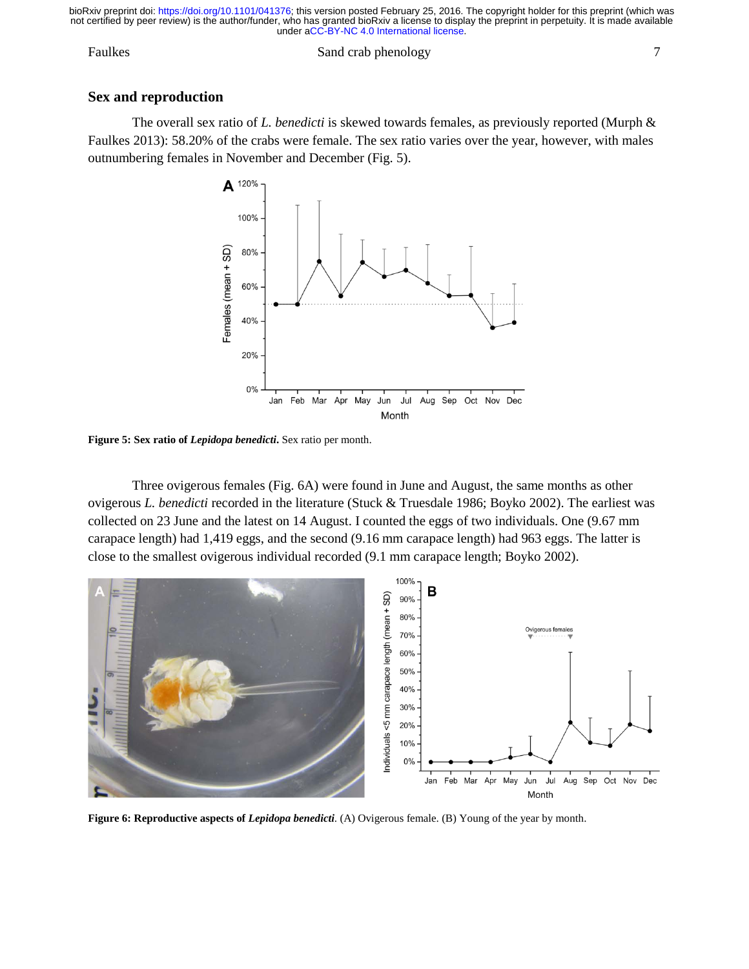### Faulkes Sand crab phenology 7

### **Sex and reproduction**

The overall sex ratio of *L. benedicti* is skewed towards females, as previously reported (Murph & Faulkes 2013): 58.20% of the crabs were female. The sex ratio varies over the year, however, with males outnumbering females in November and December (Fig. 5).



**Figure 5: Sex ratio of** *Lepidopa benedicti***.** Sex ratio per month.

Three ovigerous females (Fig. 6A) were found in June and August, the same months as other ovigerous *L. benedicti* recorded in the literature (Stuck & Truesdale 1986; Boyko 2002). The earliest was collected on 23 June and the latest on 14 August. I counted the eggs of two individuals. One (9.67 mm carapace length) had 1,419 eggs, and the second (9.16 mm carapace length) had 963 eggs. The latter is close to the smallest ovigerous individual recorded (9.1 mm carapace length; Boyko 2002).



**Figure 6: Reproductive aspects of** *Lepidopa benedicti*. (A) Ovigerous female. (B) Young of the year by month.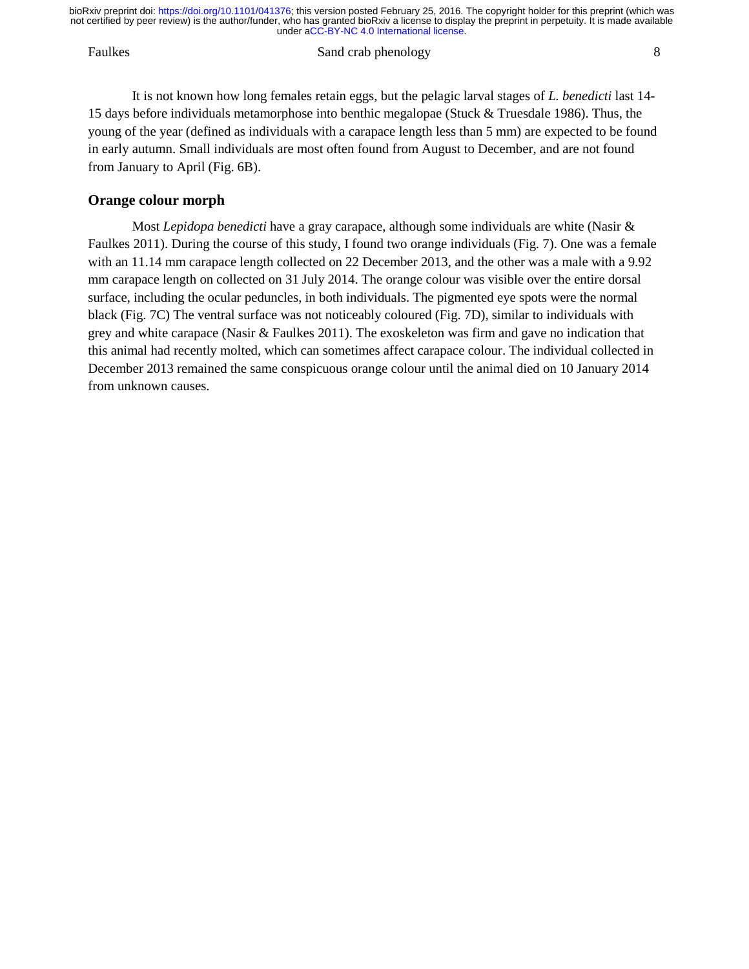#### Faulkes Sand crab phenology 8

It is not known how long females retain eggs, but the pelagic larval stages of *L. benedicti* last 14- 15 days before individuals metamorphose into benthic megalopae (Stuck & Truesdale 1986). Thus, the young of the year (defined as individuals with a carapace length less than 5 mm) are expected to be found in early autumn. Small individuals are most often found from August to December, and are not found from January to April (Fig. 6B).

### **Orange colour morph**

Most *Lepidopa benedicti* have a gray carapace, although some individuals are white (Nasir & Faulkes 2011). During the course of this study, I found two orange individuals (Fig. 7). One was a female with an 11.14 mm carapace length collected on 22 December 2013, and the other was a male with a 9.92 mm carapace length on collected on 31 July 2014. The orange colour was visible over the entire dorsal surface, including the ocular peduncles, in both individuals. The pigmented eye spots were the normal black (Fig. 7C) The ventral surface was not noticeably coloured (Fig. 7D), similar to individuals with grey and white carapace (Nasir & Faulkes 2011). The exoskeleton was firm and gave no indication that this animal had recently molted, which can sometimes affect carapace colour. The individual collected in December 2013 remained the same conspicuous orange colour until the animal died on 10 January 2014 from unknown causes.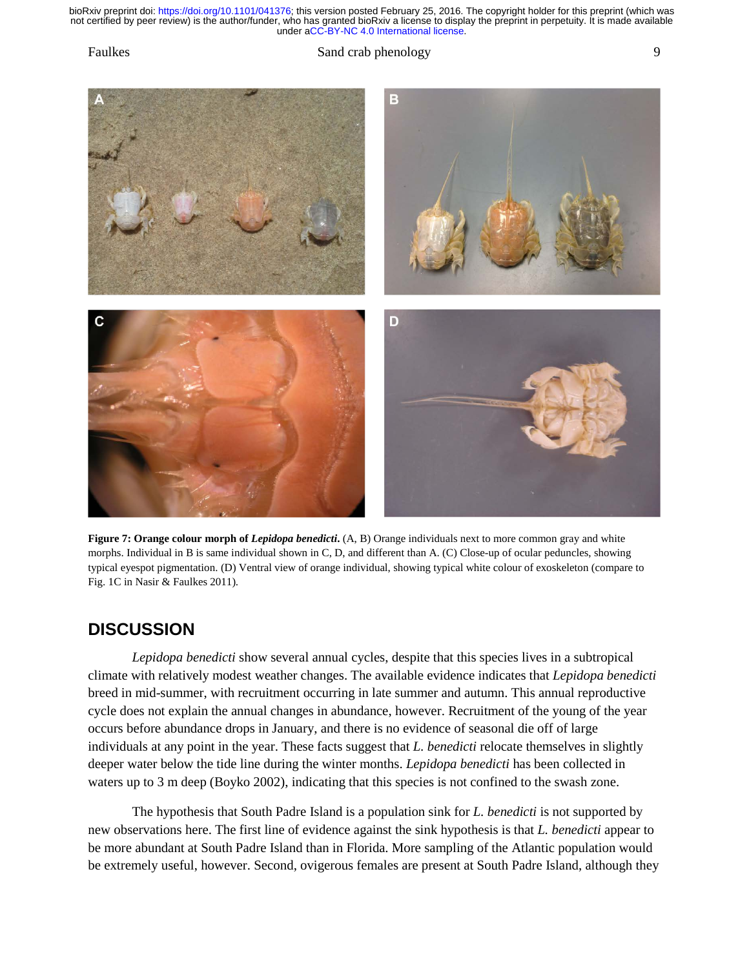Faulkes Sand crab phenology 9



**Figure 7: Orange colour morph of** *Lepidopa benedicti***.**  $(A, B)$  **Orange individuals next to more common gray and white** morphs. Individual in B is same individual shown in C, D, and different than A. (C) Close-up of ocular peduncles, showing typical eyespot pigmentation. (D) Ventral view of orange individual, showing typical white colour of exoskeleton (compare to Fig. 1C in Nasir & Faulkes 2011).

## **DISCUSSION**

*Lepidopa benedicti* show several annual cycles, despite that this species lives in a subtropical climate with relatively modest weather changes. The available evidence indicates that *Lepidopa benedicti* breed in mid-summer, with recruitment occurring in late summer and autumn. This annual reproductive cycle does not explain the annual changes in abundance, however. Recruitment of the young of the year occurs before abundance drops in January, and there is no evidence of seasonal die off of large individuals at any point in the year. These facts suggest that *L. benedicti* relocate themselves in slightly deeper water below the tide line during the winter months. *Lepidopa benedicti* has been collected in waters up to 3 m deep (Boyko 2002), indicating that this species is not confined to the swash zone.

The hypothesis that South Padre Island is a population sink for *L. benedicti* is not supported by new observations here. The first line of evidence against the sink hypothesis is that *L. benedicti* appear to be more abundant at South Padre Island than in Florida. More sampling of the Atlantic population would be extremely useful, however. Second, ovigerous females are present at South Padre Island, although they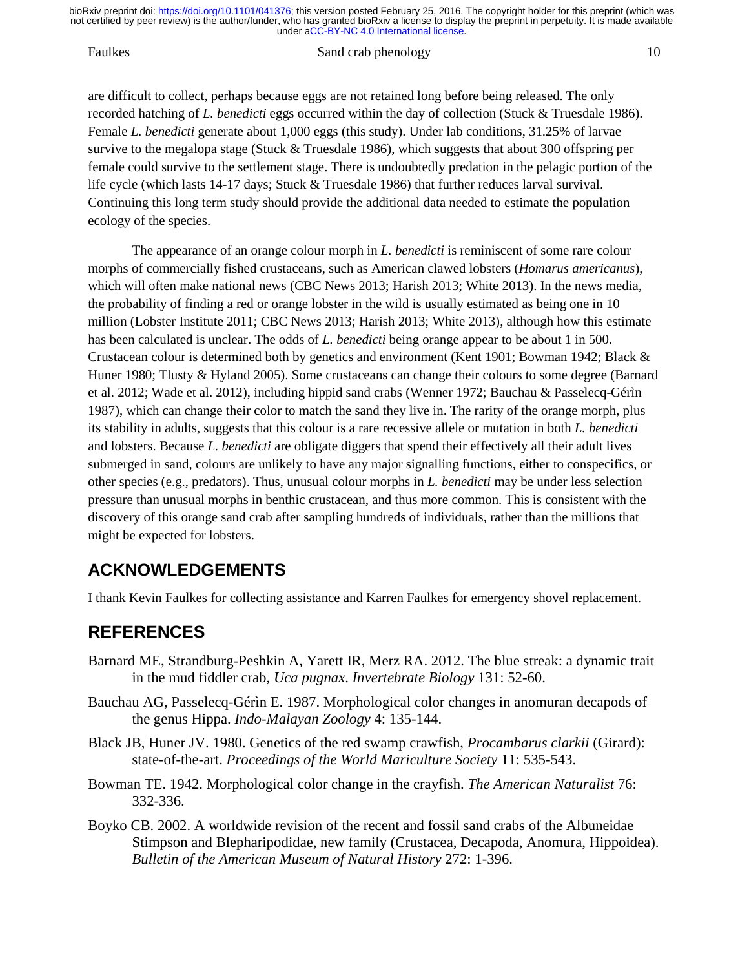#### Faulkes Sand crab phenology 10

are difficult to collect, perhaps because eggs are not retained long before being released. The only recorded hatching of *L. benedicti* eggs occurred within the day of collection (Stuck & Truesdale 1986). Female *L. benedicti* generate about 1,000 eggs (this study). Under lab conditions, 31.25% of larvae survive to the megalopa stage (Stuck & Truesdale 1986), which suggests that about 300 offspring per female could survive to the settlement stage. There is undoubtedly predation in the pelagic portion of the life cycle (which lasts 14-17 days; Stuck & Truesdale 1986) that further reduces larval survival. Continuing this long term study should provide the additional data needed to estimate the population ecology of the species.

The appearance of an orange colour morph in *L. benedicti* is reminiscent of some rare colour morphs of commercially fished crustaceans, such as American clawed lobsters (*Homarus americanus*), which will often make national news (CBC News 2013; Harish 2013; White 2013). In the news media, the probability of finding a red or orange lobster in the wild is usually estimated as being one in 10 million (Lobster Institute 2011; CBC News 2013; Harish 2013; White 2013), although how this estimate has been calculated is unclear. The odds of *L. benedicti* being orange appear to be about 1 in 500. Crustacean colour is determined both by genetics and environment (Kent 1901; Bowman 1942; Black & Huner 1980; Tlusty & Hyland 2005). Some crustaceans can change their colours to some degree (Barnard et al. 2012; Wade et al. 2012), including hippid sand crabs (Wenner 1972; Bauchau & Passelecq-Gérìn 1987), which can change their color to match the sand they live in. The rarity of the orange morph, plus its stability in adults, suggests that this colour is a rare recessive allele or mutation in both *L. benedicti* and lobsters. Because *L. benedicti* are obligate diggers that spend their effectively all their adult lives submerged in sand, colours are unlikely to have any major signalling functions, either to conspecifics, or other species (e.g., predators). Thus, unusual colour morphs in *L. benedicti* may be under less selection pressure than unusual morphs in benthic crustacean, and thus more common. This is consistent with the discovery of this orange sand crab after sampling hundreds of individuals, rather than the millions that might be expected for lobsters.

## **ACKNOWLEDGEMENTS**

I thank Kevin Faulkes for collecting assistance and Karren Faulkes for emergency shovel replacement.

## **REFERENCES**

- Barnard ME, Strandburg-Peshkin A, Yarett IR, Merz RA. 2012. The blue streak: a dynamic trait in the mud fiddler crab, *Uca pugnax*. *Invertebrate Biology* 131: 52-60.
- Bauchau AG, Passelecq-Gérìn E. 1987. Morphological color changes in anomuran decapods of the genus Hippa. *Indo-Malayan Zoology* 4: 135-144.
- Black JB, Huner JV. 1980. Genetics of the red swamp crawfish, *Procambarus clarkii* (Girard): state-of-the-art. *Proceedings of the World Mariculture Society* 11: 535-543.
- Bowman TE. 1942. Morphological color change in the crayfish. *The American Naturalist* 76: 332-336.
- Boyko CB. 2002. A worldwide revision of the recent and fossil sand crabs of the Albuneidae Stimpson and Blepharipodidae, new family (Crustacea, Decapoda, Anomura, Hippoidea). *Bulletin of the American Museum of Natural History* 272: 1-396.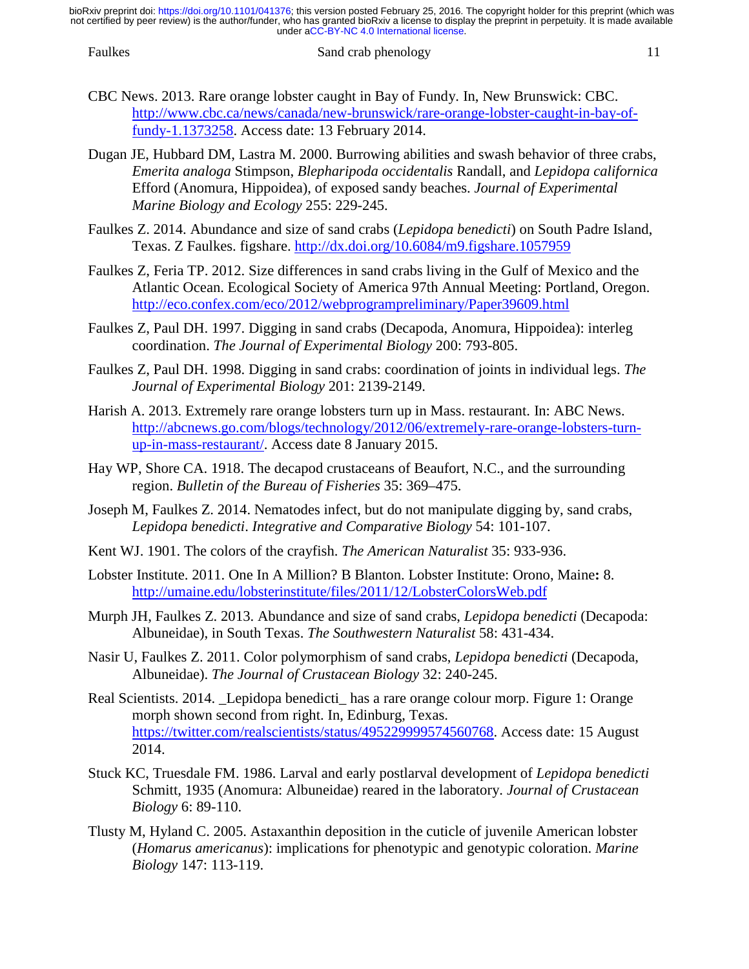- CBC News. 2013. Rare orange lobster caught in Bay of Fundy. In, New Brunswick: CBC. [http://www.cbc.ca/news/canada/new-brunswick/rare-orange-lobster-caught-in-bay-of](http://www.cbc.ca/news/canada/new-brunswick/rare-orange-lobster-caught-in-bay-of-fundy-1.1373258)[fundy-1.1373258.](http://www.cbc.ca/news/canada/new-brunswick/rare-orange-lobster-caught-in-bay-of-fundy-1.1373258) Access date: 13 February 2014.
- Dugan JE, Hubbard DM, Lastra M. 2000. Burrowing abilities and swash behavior of three crabs, *Emerita analoga* Stimpson, *Blepharipoda occidentalis* Randall, and *Lepidopa californica* Efford (Anomura, Hippoidea), of exposed sandy beaches. *Journal of Experimental Marine Biology and Ecology* 255: 229-245.
- Faulkes Z. 2014. Abundance and size of sand crabs (*Lepidopa benedicti*) on South Padre Island, Texas. Z Faulkes. figshare.<http://dx.doi.org/10.6084/m9.figshare.1057959>
- Faulkes Z, Feria TP. 2012. Size differences in sand crabs living in the Gulf of Mexico and the Atlantic Ocean. Ecological Society of America 97th Annual Meeting: Portland, Oregon. <http://eco.confex.com/eco/2012/webprogrampreliminary/Paper39609.html>
- Faulkes Z, Paul DH. 1997. Digging in sand crabs (Decapoda, Anomura, Hippoidea): interleg coordination. *The Journal of Experimental Biology* 200: 793-805.
- Faulkes Z, Paul DH. 1998. Digging in sand crabs: coordination of joints in individual legs. *The Journal of Experimental Biology* 201: 2139-2149.
- Harish A. 2013. Extremely rare orange lobsters turn up in Mass. restaurant. In: ABC News. [http://abcnews.go.com/blogs/technology/2012/06/extremely-rare-orange-lobsters-turn](http://abcnews.go.com/blogs/technology/2012/06/extremely-rare-orange-lobsters-turn-up-in-mass-restaurant/)[up-in-mass-restaurant/.](http://abcnews.go.com/blogs/technology/2012/06/extremely-rare-orange-lobsters-turn-up-in-mass-restaurant/) Access date 8 January 2015.
- Hay WP, Shore CA. 1918. The decapod crustaceans of Beaufort, N.C., and the surrounding region. *Bulletin of the Bureau of Fisheries* 35: 369–475.
- Joseph M, Faulkes Z. 2014. Nematodes infect, but do not manipulate digging by, sand crabs, *Lepidopa benedicti*. *Integrative and Comparative Biology* 54: 101-107.
- Kent WJ. 1901. The colors of the crayfish. *The American Naturalist* 35: 933-936.
- Lobster Institute. 2011. One In A Million? B Blanton. Lobster Institute: Orono, Maine**:** 8. <http://umaine.edu/lobsterinstitute/files/2011/12/LobsterColorsWeb.pdf>
- Murph JH, Faulkes Z. 2013. Abundance and size of sand crabs, *Lepidopa benedicti* (Decapoda: Albuneidae), in South Texas. *The Southwestern Naturalist* 58: 431-434.
- Nasir U, Faulkes Z. 2011. Color polymorphism of sand crabs, *Lepidopa benedicti* (Decapoda, Albuneidae). *The Journal of Crustacean Biology* 32: 240-245.
- Real Scientists. 2014. \_Lepidopa benedicti\_ has a rare orange colour morp. Figure 1: Orange morph shown second from right. In, Edinburg, Texas. [https://twitter.com/realscientists/status/495229999574560768.](https://twitter.com/realscientists/status/495229999574560768) Access date: 15 August 2014.
- Stuck KC, Truesdale FM. 1986. Larval and early postlarval development of *Lepidopa benedicti* Schmitt, 1935 (Anomura: Albuneidae) reared in the laboratory. *Journal of Crustacean Biology* 6: 89-110.
- Tlusty M, Hyland C. 2005. Astaxanthin deposition in the cuticle of juvenile American lobster (*Homarus americanus*): implications for phenotypic and genotypic coloration. *Marine Biology* 147: 113-119.